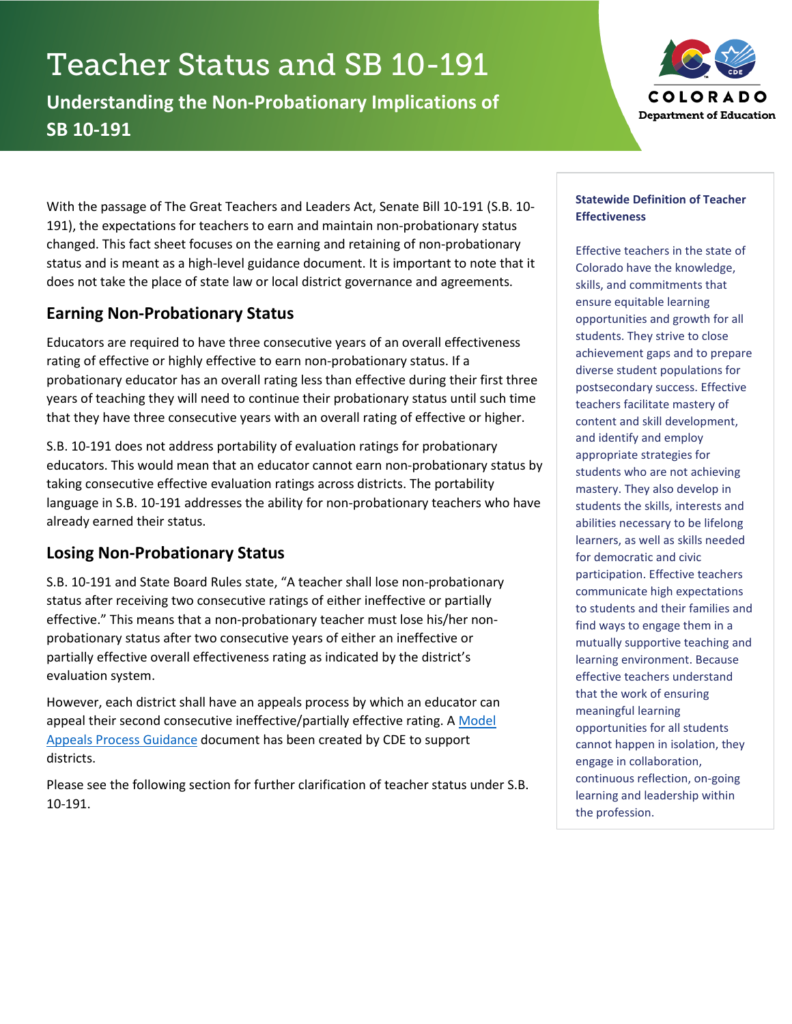# Teacher Status and SB 10-191

**Understanding the Non-Probationary Implications of SB 10-191**



With the passage of The Great Teachers and Leaders Act, Senate Bill 10-191 (S.B. 10- 191), the expectations for teachers to earn and maintain non-probationary status changed. This fact sheet focuses on the earning and retaining of non-probationary status and is meant as a high-level guidance document. It is important to note that it does not take the place of state law or local district governance and agreements.

# **Earning Non-Probationary Status**

Educators are required to have three consecutive years of an overall effectiveness rating of effective or highly effective to earn non-probationary status. If a probationary educator has an overall rating less than effective during their first three years of teaching they will need to continue their probationary status until such time that they have three consecutive years with an overall rating of effective or higher.

S.B. 10-191 does not address portability of evaluation ratings for probationary educators. This would mean that an educator cannot earn non-probationary status by taking consecutive effective evaluation ratings across districts. The portability language in S.B. 10-191 addresses the ability for non-probationary teachers who have already earned their status.

## **Losing Non-Probationary Status**

S.B. 10-191 and State Board Rules state, "A teacher shall lose non-probationary status after receiving two consecutive ratings of either ineffective or partially effective." This means that a non-probationary teacher must lose his/her nonprobationary status after two consecutive years of either an ineffective or partially effective overall effectiveness rating as indicated by the district's evaluation system.

However, each district shall have an appeals process by which an educator can appeal their second consecutive ineffective/partially effective rating. [A Model](http://www.cde.state.co.us/educatoreffectiveness/model_appeals_process_guidance)  [Appeals Process Guidance](http://www.cde.state.co.us/educatoreffectiveness/model_appeals_process_guidance) document has been created by CDE to support districts.

Please see the following section for further clarification of teacher status under S.B. 10-191.

#### **Statewide Definition of Teacher Effectiveness**

Effective teachers in the state of Colorado have the knowledge, skills, and commitments that ensure equitable learning opportunities and growth for all students. They strive to close achievement gaps and to prepare diverse student populations for postsecondary success. Effective teachers facilitate mastery of content and skill development, and identify and employ appropriate strategies for students who are not achieving mastery. They also develop in students the skills, interests and abilities necessary to be lifelong learners, as well as skills needed for democratic and civic participation. Effective teachers communicate high expectations to students and their families and find ways to engage them in a mutually supportive teaching and learning environment. Because effective teachers understand that the work of ensuring meaningful learning opportunities for all students cannot happen in isolation, they engage in collaboration, continuous reflection, on-going learning and leadership within the profession.